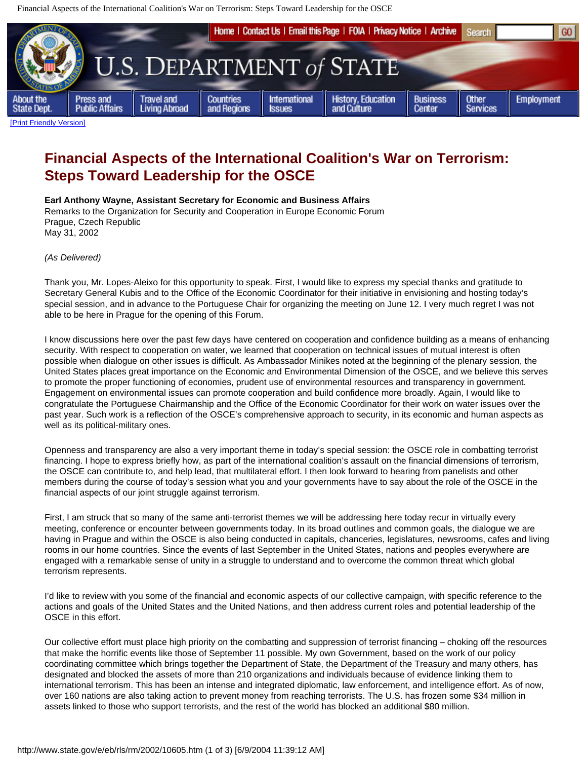Financial Aspects of the International Coalition's War on Terrorism: Steps Toward Leadership for the OSCE



## **Financial Aspects of the International Coalition's War on Terrorism: Steps Toward Leadership for the OSCE**

**Earl Anthony Wayne, Assistant Secretary for Economic and Business Affairs** Remarks to the Organization for Security and Cooperation in Europe Economic Forum

Prague, Czech Republic May 31, 2002

*(As Delivered)*

Thank you, Mr. Lopes-Aleixo for this opportunity to speak. First, I would like to express my special thanks and gratitude to Secretary General Kubis and to the Office of the Economic Coordinator for their initiative in envisioning and hosting today's special session, and in advance to the Portuguese Chair for organizing the meeting on June 12. I very much regret I was not able to be here in Prague for the opening of this Forum.

I know discussions here over the past few days have centered on cooperation and confidence building as a means of enhancing security. With respect to cooperation on water, we learned that cooperation on technical issues of mutual interest is often possible when dialogue on other issues is difficult. As Ambassador Minikes noted at the beginning of the plenary session, the United States places great importance on the Economic and Environmental Dimension of the OSCE, and we believe this serves to promote the proper functioning of economies, prudent use of environmental resources and transparency in government. Engagement on environmental issues can promote cooperation and build confidence more broadly. Again, I would like to congratulate the Portuguese Chairmanship and the Office of the Economic Coordinator for their work on water issues over the past year. Such work is a reflection of the OSCE's comprehensive approach to security, in its economic and human aspects as well as its political-military ones.

Openness and transparency are also a very important theme in today's special session: the OSCE role in combatting terrorist financing. I hope to express briefly how, as part of the international coalition's assault on the financial dimensions of terrorism, the OSCE can contribute to, and help lead, that multilateral effort. I then look forward to hearing from panelists and other members during the course of today's session what you and your governments have to say about the role of the OSCE in the financial aspects of our joint struggle against terrorism.

First, I am struck that so many of the same anti-terrorist themes we will be addressing here today recur in virtually every meeting, conference or encounter between governments today. In its broad outlines and common goals, the dialogue we are having in Prague and within the OSCE is also being conducted in capitals, chanceries, legislatures, newsrooms, cafes and living rooms in our home countries. Since the events of last September in the United States, nations and peoples everywhere are engaged with a remarkable sense of unity in a struggle to understand and to overcome the common threat which global terrorism represents.

I'd like to review with you some of the financial and economic aspects of our collective campaign, with specific reference to the actions and goals of the United States and the United Nations, and then address current roles and potential leadership of the OSCE in this effort.

Our collective effort must place high priority on the combatting and suppression of terrorist financing – choking off the resources that make the horrific events like those of September 11 possible. My own Government, based on the work of our policy coordinating committee which brings together the Department of State, the Department of the Treasury and many others, has designated and blocked the assets of more than 210 organizations and individuals because of evidence linking them to international terrorism. This has been an intense and integrated diplomatic, law enforcement, and intelligence effort. As of now, over 160 nations are also taking action to prevent money from reaching terrorists. The U.S. has frozen some \$34 million in assets linked to those who support terrorists, and the rest of the world has blocked an additional \$80 million.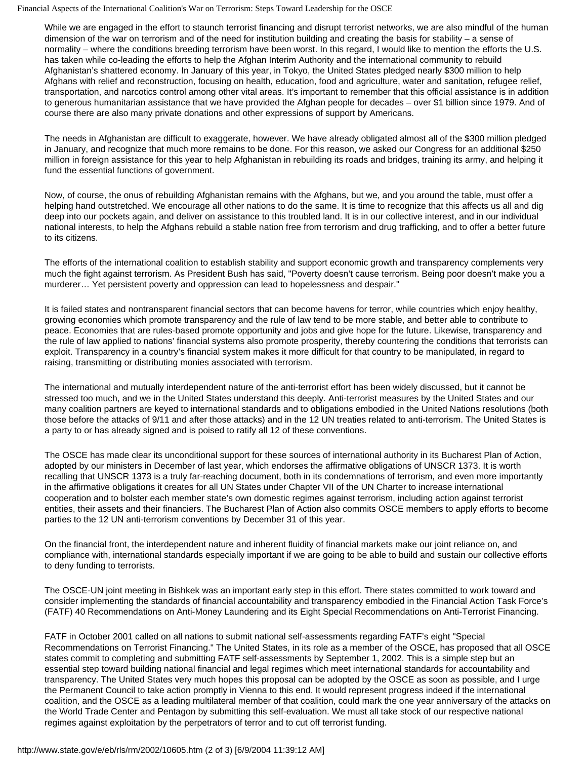Financial Aspects of the International Coalition's War on Terrorism: Steps Toward Leadership for the OSCE

While we are engaged in the effort to staunch terrorist financing and disrupt terrorist networks, we are also mindful of the human dimension of the war on terrorism and of the need for institution building and creating the basis for stability – a sense of normality – where the conditions breeding terrorism have been worst. In this regard, I would like to mention the efforts the U.S. has taken while co-leading the efforts to help the Afghan Interim Authority and the international community to rebuild Afghanistan's shattered economy. In January of this year, in Tokyo, the United States pledged nearly \$300 million to help Afghans with relief and reconstruction, focusing on health, education, food and agriculture, water and sanitation, refugee relief, transportation, and narcotics control among other vital areas. It's important to remember that this official assistance is in addition to generous humanitarian assistance that we have provided the Afghan people for decades – over \$1 billion since 1979. And of course there are also many private donations and other expressions of support by Americans.

The needs in Afghanistan are difficult to exaggerate, however. We have already obligated almost all of the \$300 million pledged in January, and recognize that much more remains to be done. For this reason, we asked our Congress for an additional \$250 million in foreign assistance for this year to help Afghanistan in rebuilding its roads and bridges, training its army, and helping it fund the essential functions of government.

Now, of course, the onus of rebuilding Afghanistan remains with the Afghans, but we, and you around the table, must offer a helping hand outstretched. We encourage all other nations to do the same. It is time to recognize that this affects us all and dig deep into our pockets again, and deliver on assistance to this troubled land. It is in our collective interest, and in our individual national interests, to help the Afghans rebuild a stable nation free from terrorism and drug trafficking, and to offer a better future to its citizens.

The efforts of the international coalition to establish stability and support economic growth and transparency complements very much the fight against terrorism. As President Bush has said, "Poverty doesn't cause terrorism. Being poor doesn't make you a murderer… Yet persistent poverty and oppression can lead to hopelessness and despair."

It is failed states and nontransparent financial sectors that can become havens for terror, while countries which enjoy healthy, growing economies which promote transparency and the rule of law tend to be more stable, and better able to contribute to peace. Economies that are rules-based promote opportunity and jobs and give hope for the future. Likewise, transparency and the rule of law applied to nations' financial systems also promote prosperity, thereby countering the conditions that terrorists can exploit. Transparency in a country's financial system makes it more difficult for that country to be manipulated, in regard to raising, transmitting or distributing monies associated with terrorism.

The international and mutually interdependent nature of the anti-terrorist effort has been widely discussed, but it cannot be stressed too much, and we in the United States understand this deeply. Anti-terrorist measures by the United States and our many coalition partners are keyed to international standards and to obligations embodied in the United Nations resolutions (both those before the attacks of 9/11 and after those attacks) and in the 12 UN treaties related to anti-terrorism. The United States is a party to or has already signed and is poised to ratify all 12 of these conventions.

The OSCE has made clear its unconditional support for these sources of international authority in its Bucharest Plan of Action, adopted by our ministers in December of last year, which endorses the affirmative obligations of UNSCR 1373. It is worth recalling that UNSCR 1373 is a truly far-reaching document, both in its condemnations of terrorism, and even more importantly in the affirmative obligations it creates for all UN States under Chapter VII of the UN Charter to increase international cooperation and to bolster each member state's own domestic regimes against terrorism, including action against terrorist entities, their assets and their financiers. The Bucharest Plan of Action also commits OSCE members to apply efforts to become parties to the 12 UN anti-terrorism conventions by December 31 of this year.

On the financial front, the interdependent nature and inherent fluidity of financial markets make our joint reliance on, and compliance with, international standards especially important if we are going to be able to build and sustain our collective efforts to deny funding to terrorists.

The OSCE-UN joint meeting in Bishkek was an important early step in this effort. There states committed to work toward and consider implementing the standards of financial accountability and transparency embodied in the Financial Action Task Force's (FATF) 40 Recommendations on Anti-Money Laundering and its Eight Special Recommendations on Anti-Terrorist Financing.

FATF in October 2001 called on all nations to submit national self-assessments regarding FATF's eight "Special Recommendations on Terrorist Financing." The United States, in its role as a member of the OSCE, has proposed that all OSCE states commit to completing and submitting FATF self-assessments by September 1, 2002. This is a simple step but an essential step toward building national financial and legal regimes which meet international standards for accountability and transparency. The United States very much hopes this proposal can be adopted by the OSCE as soon as possible, and I urge the Permanent Council to take action promptly in Vienna to this end. It would represent progress indeed if the international coalition, and the OSCE as a leading multilateral member of that coalition, could mark the one year anniversary of the attacks on the World Trade Center and Pentagon by submitting this self-evaluation. We must all take stock of our respective national regimes against exploitation by the perpetrators of terror and to cut off terrorist funding.